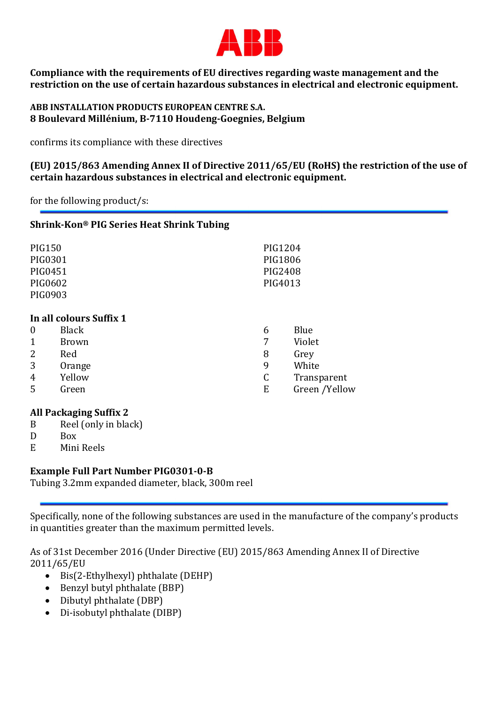

Compliance with the requirements of EU directives regarding waste management and the restriction on the use of certain hazardous substances in electrical and electronic equipment.

## ABB INSTALLATION PRODUCTS EUROPEAN CENTRE S.A. 8 Boulevard Millénium, B-7110 Houdeng-Goegnies, Belgium

confirms its compliance with these directives

(EU) 2015/863 Amending Annex II of Directive 2011/65/EU (RoHS) the restriction of the use of certain hazardous substances in electrical and electronic equipment.

for the following product/s:

| Shrink-Kon® PIG Series Heat Shrink Tubing |                                                                 |  |
|-------------------------------------------|-----------------------------------------------------------------|--|
|                                           |                                                                 |  |
|                                           |                                                                 |  |
| 6<br>7<br>8<br>9<br>C<br>E                | Blue<br>Violet<br>Grey<br>White<br>Transparent<br>Green /Yellow |  |
|                                           | PIG1204<br>PIG1806<br>PIG2408<br>PIG4013                        |  |

## All Packaging Suffix 2

- B Reel (only in black)
- D Box
- E Mini Reels

## Example Full Part Number PIG0301-0-B

Tubing 3.2mm expanded diameter, black, 300m reel

Specifically, none of the following substances are used in the manufacture of the company's products in quantities greater than the maximum permitted levels.

As of 31st December 2016 (Under Directive (EU) 2015/863 Amending Annex II of Directive 2011/65/EU

- $\bullet$  Bis(2-Ethylhexyl) phthalate (DEHP)
- Benzyl butyl phthalate (BBP)
- Dibutyl phthalate (DBP)
- Di-isobutyl phthalate (DIBP)